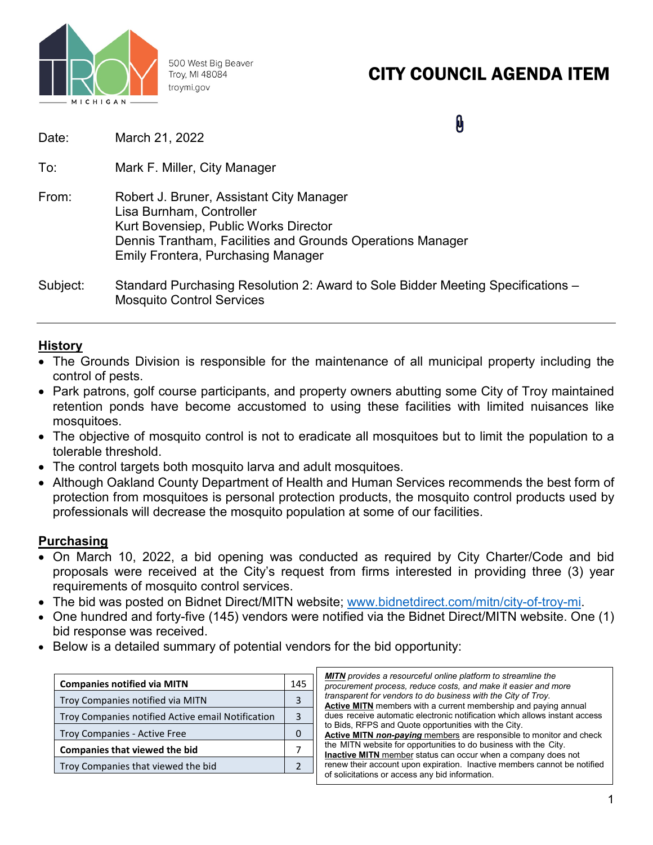

500 West Big Beaver Troy, MI 48084 troymi.gov

# CITY COUNCIL AGENDA ITEM

| Date:    | March 21, 2022                                                                                                                                                                                                           |
|----------|--------------------------------------------------------------------------------------------------------------------------------------------------------------------------------------------------------------------------|
| To:      | Mark F. Miller, City Manager                                                                                                                                                                                             |
| From:    | Robert J. Bruner, Assistant City Manager<br>Lisa Burnham, Controller<br>Kurt Bovensiep, Public Works Director<br>Dennis Trantham, Facilities and Grounds Operations Manager<br><b>Emily Frontera, Purchasing Manager</b> |
| Subject: | Standard Purchasing Resolution 2: Award to Sole Bidder Meeting Specifications –<br><b>Mosquito Control Services</b>                                                                                                      |

### **History**

- The Grounds Division is responsible for the maintenance of all municipal property including the control of pests.
- Park patrons, golf course participants, and property owners abutting some City of Troy maintained retention ponds have become accustomed to using these facilities with limited nuisances like mosquitoes.
- The objective of mosquito control is not to eradicate all mosquitoes but to limit the population to a tolerable threshold.
- The control targets both mosquito larva and adult mosquitoes.
- Although Oakland County Department of Health and Human Services recommends the best form of protection from mosquitoes is personal protection products, the mosquito control products used by professionals will decrease the mosquito population at some of our facilities.

## **Purchasing**

- On March 10, 2022, a bid opening was conducted as required by City Charter/Code and bid proposals were received at the City's request from firms interested in providing three (3) year requirements of mosquito control services.
- The bid was posted on Bidnet Direct/MITN website; [www.bidnetdirect.com/mitn/city-of-troy-mi.](http://www.bidnetdirect.com/mitn/city-of-troy-mi)
- One hundred and forty-five (145) vendors were notified via the Bidnet Direct/MITN website. One (1) bid response was received.
- Below is a detailed summary of potential vendors for the bid opportunity:

| <b>Companies notified via MITN</b>                |  |  |  |
|---------------------------------------------------|--|--|--|
| Troy Companies notified via MITN                  |  |  |  |
| Troy Companies notified Active email Notification |  |  |  |
| Troy Companies - Active Free                      |  |  |  |
| <b>Companies that viewed the bid</b>              |  |  |  |
| Troy Companies that viewed the bid                |  |  |  |
|                                                   |  |  |  |

| <b>MITN</b> provides a resourceful online platform to streamline the<br>procurement process, reduce costs, and make it easier and more |
|----------------------------------------------------------------------------------------------------------------------------------------|
| transparent for vendors to do business with the City of Troy.                                                                          |
| <b>Active MITN</b> members with a current membership and paying annual                                                                 |
| dues receive automatic electronic notification which allows instant access                                                             |
| to Bids, RFPS and Quote opportunities with the City.                                                                                   |
| <b>Active MITN non-paying members are responsible to monitor and check</b>                                                             |
| the MITN website for opportunities to do business with the City.                                                                       |
| Inactive MITN member status can occur when a company does not                                                                          |
| renew their account upon expiration. Inactive members cannot be notified<br>of solicitations or access any bid information.            |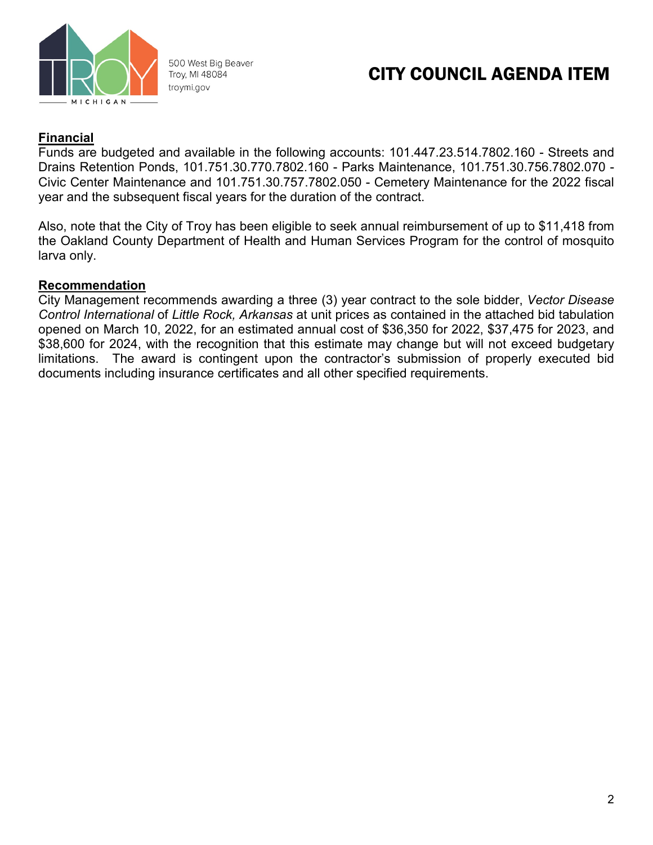

500 West Big Beaver Troy, MI 48084 troymi.gov

## CITY COUNCIL AGENDA ITEM

## **Financial**

Funds are budgeted and available in the following accounts: 101.447.23.514.7802.160 - Streets and Drains Retention Ponds, 101.751.30.770.7802.160 - Parks Maintenance, 101.751.30.756.7802.070 - Civic Center Maintenance and 101.751.30.757.7802.050 - Cemetery Maintenance for the 2022 fiscal year and the subsequent fiscal years for the duration of the contract.

Also, note that the City of Troy has been eligible to seek annual reimbursement of up to \$11,418 from the Oakland County Department of Health and Human Services Program for the control of mosquito larva only.

#### **Recommendation**

City Management recommends awarding a three (3) year contract to the sole bidder, *Vector Disease Control International* of *Little Rock, Arkansas* at unit prices as contained in the attached bid tabulation opened on March 10, 2022, for an estimated annual cost of \$36,350 for 2022, \$37,475 for 2023, and \$38,600 for 2024, with the recognition that this estimate may change but will not exceed budgetary limitations. The award is contingent upon the contractor's submission of properly executed bid documents including insurance certificates and all other specified requirements.